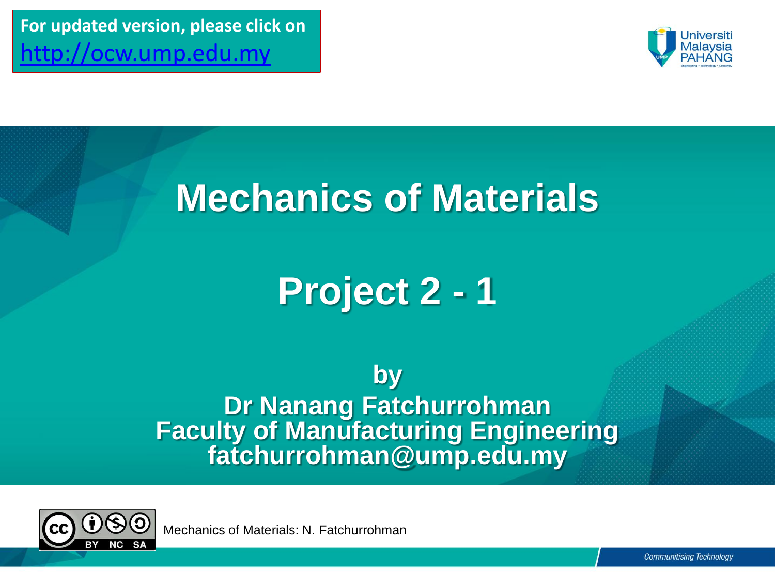**For updated version, please click on**  [http://ocw.ump.edu.my](http://ocw.ump.edu.my/) 



## **Mechanics of Materials**

## **Project 2 - 1**

**by Dr Nanang Fatchurrohman Faculty of Manufacturing Engineering fatchurrohman@ump.edu.my**



Mechanics of Materials: N. Fatchurrohman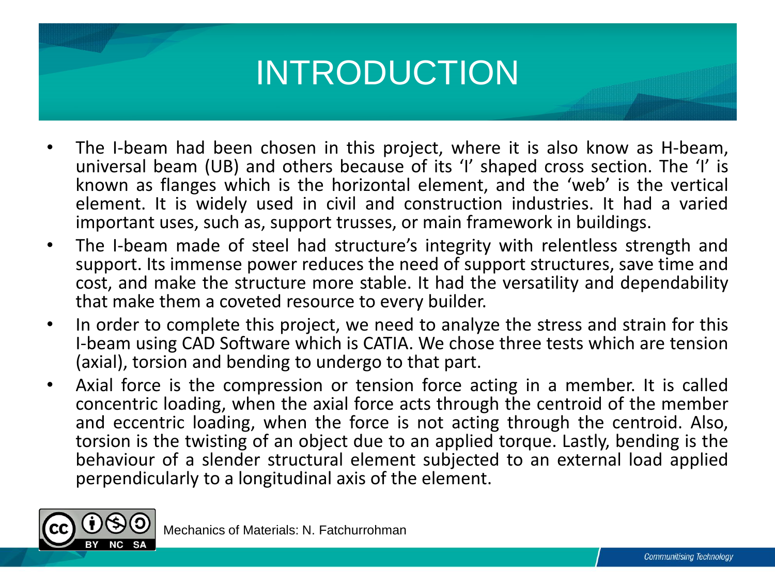## INTRODUCTION

- The I-beam had been chosen in this project, where it is also know as H-beam, universal beam (UB) and others because of its 'I' shaped cross section. The 'I' is known as flanges which is the horizontal element, and the 'web' is the vertical element. It is widely used in civil and construction industries. It had a varied important uses, such as, support trusses, or main framework in buildings.
- The I-beam made of steel had structure's integrity with relentless strength and support. Its immense power reduces the need of support structures, save time and cost, and make the structure more stable. It had the versatility and dependability that make them a coveted resource to every builder.
- In order to complete this project, we need to analyze the stress and strain for this I-beam using CAD Software which is CATIA. We chose three tests which are tension (axial), torsion and bending to undergo to that part.
- Axial force is the compression or tension force acting in a member. It is called concentric loading, when the axial force acts through the centroid of the member and eccentric loading, when the force is not acting through the centroid. Also, torsion is the twisting of an object due to an applied torque. Lastly, bending is the behaviour of a slender structural element subjected to an external load applied perpendicularly to a longitudinal axis of the element.



Mechanics of Materials: N. Fatchurrohman